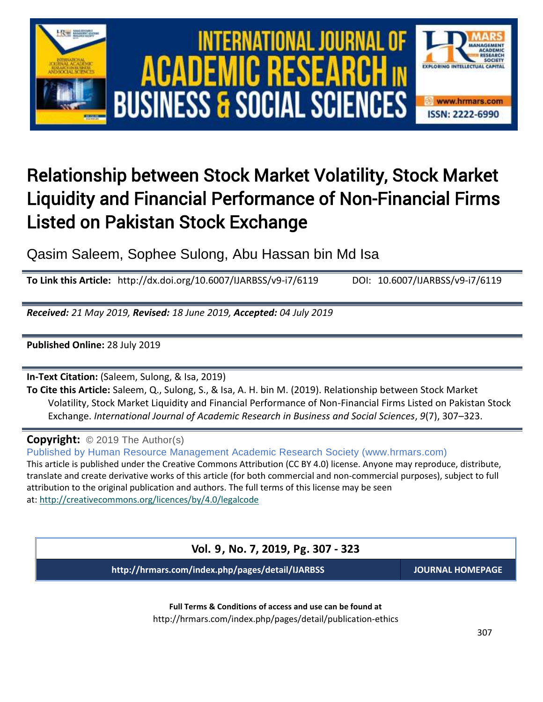

## Relationship between Stock Market Volatility, Stock Market Liquidity and Financial Performance of Non-Financial Firms Listed on Pakistan Stock Exchange

Qasim Saleem, Sophee Sulong, Abu Hassan bin Md Isa

**To Link this Article:** http://dx.doi.org/10.6007/IJARBSS/v9-i7/6119 DOI: 10.6007/IJARBSS/v9-i7/6119

*Received: 21 May 2019, Revised: 18 June 2019, Accepted: 04 July 2019*

**Published Online:** 28 July 2019

**In-Text Citation:** (Saleem, Sulong, & Isa, 2019)

**To Cite this Article:** Saleem, Q., Sulong, S., & Isa, A. H. bin M. (2019). Relationship between Stock Market Volatility, Stock Market Liquidity and Financial Performance of Non-Financial Firms Listed on Pakistan Stock Exchange. *International Journal of Academic Research in Business and Social Sciences*, *9*(7), 307–323.

**Copyright:** © 2019 The Author(s)

Published by Human Resource Management Academic Research Society (www.hrmars.com) This article is published under the Creative Commons Attribution (CC BY 4.0) license. Anyone may reproduce, distribute, translate and create derivative works of this article (for both commercial and non-commercial purposes), subject to full attribution to the original publication and authors. The full terms of this license may be seen at: <http://creativecommons.org/licences/by/4.0/legalcode>

**Vol. 9, No. 7, 2019, Pg. 307 - 323**

**http://hrmars.com/index.php/pages/detail/IJARBSS JOURNAL HOMEPAGE**

**Full Terms & Conditions of access and use can be found at** http://hrmars.com/index.php/pages/detail/publication-ethics